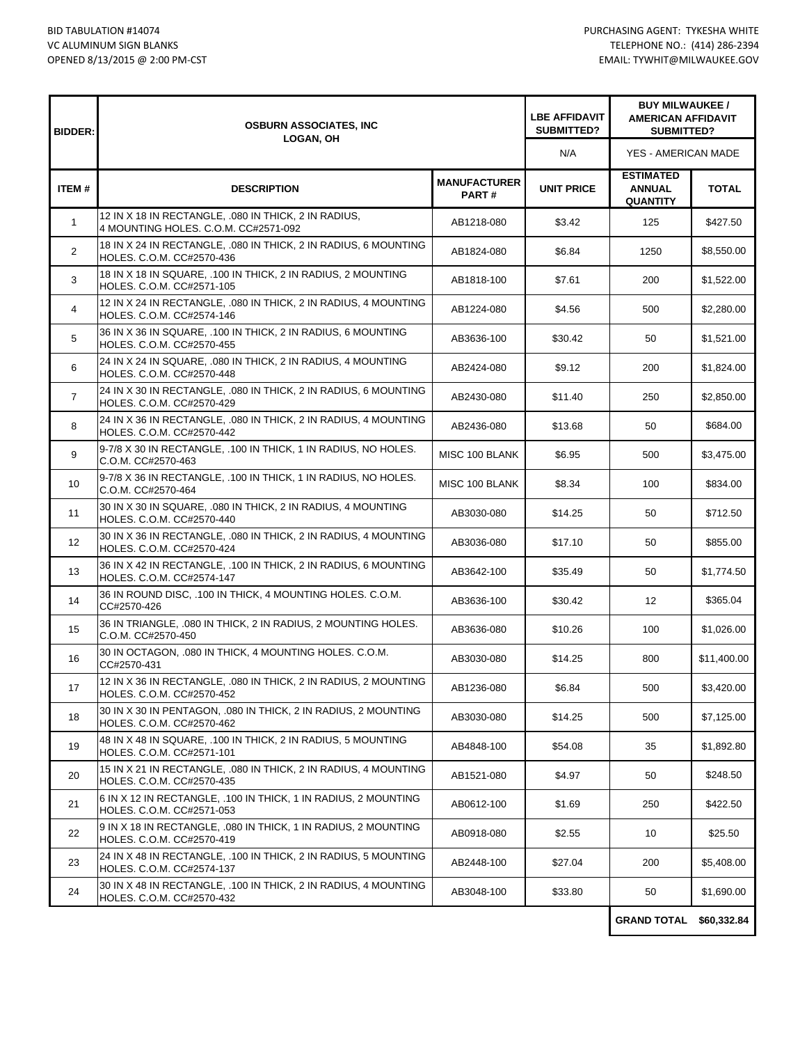| <b>BIDDER:</b>    | <b>OSBURN ASSOCIATES, INC</b><br><b>LOGAN, OH</b>                                            |                              | <b>LBE AFFIDAVIT</b><br>SUBMITTED? | <b>BUY MILWAUKEE /</b><br><b>AMERICAN AFFIDAVIT</b><br>SUBMITTED? |              |
|-------------------|----------------------------------------------------------------------------------------------|------------------------------|------------------------------------|-------------------------------------------------------------------|--------------|
|                   |                                                                                              |                              | N/A                                | YES - AMERICAN MADE                                               |              |
| ITEM#             | <b>DESCRIPTION</b>                                                                           | <b>MANUFACTURER</b><br>PART# | <b>UNIT PRICE</b>                  | <b>ESTIMATED</b><br><b>ANNUAL</b><br><b>QUANTITY</b>              | <b>TOTAL</b> |
| $\mathbf{1}$      | 12 IN X 18 IN RECTANGLE, .080 IN THICK, 2 IN RADIUS,<br>4 MOUNTING HOLES, C.O.M. CC#2571-092 | AB1218-080                   | \$3.42                             | 125                                                               | \$427.50     |
| $\overline{2}$    | 18 IN X 24 IN RECTANGLE, .080 IN THICK, 2 IN RADIUS, 6 MOUNTING<br>HOLES. C.O.M. CC#2570-436 | AB1824-080                   | \$6.84                             | 1250                                                              | \$8,550.00   |
| 3                 | 18 IN X 18 IN SQUARE, .100 IN THICK, 2 IN RADIUS, 2 MOUNTING<br>HOLES. C.O.M. CC#2571-105    | AB1818-100                   | \$7.61                             | 200                                                               | \$1,522.00   |
| $\overline{4}$    | 12 IN X 24 IN RECTANGLE, .080 IN THICK, 2 IN RADIUS, 4 MOUNTING<br>HOLES. C.O.M. CC#2574-146 | AB1224-080                   | \$4.56                             | 500                                                               | \$2,280.00   |
| 5                 | 36 IN X 36 IN SQUARE, .100 IN THICK, 2 IN RADIUS, 6 MOUNTING<br>HOLES. C.O.M. CC#2570-455    | AB3636-100                   | \$30.42                            | 50                                                                | \$1,521.00   |
| 6                 | 24 IN X 24 IN SQUARE, .080 IN THICK, 2 IN RADIUS, 4 MOUNTING<br>HOLES. C.O.M. CC#2570-448    | AB2424-080                   | \$9.12                             | 200                                                               | \$1,824.00   |
| $\overline{7}$    | 24 IN X 30 IN RECTANGLE, .080 IN THICK, 2 IN RADIUS, 6 MOUNTING<br>HOLES. C.O.M. CC#2570-429 | AB2430-080                   | \$11.40                            | 250                                                               | \$2,850.00   |
| 8                 | 24 IN X 36 IN RECTANGLE, .080 IN THICK, 2 IN RADIUS, 4 MOUNTING<br>HOLES. C.O.M. CC#2570-442 | AB2436-080                   | \$13.68                            | 50                                                                | \$684.00     |
| 9                 | 9-7/8 X 30 IN RECTANGLE, .100 IN THICK, 1 IN RADIUS, NO HOLES.<br>C.O.M. CC#2570-463         | MISC 100 BLANK               | \$6.95                             | 500                                                               | \$3,475.00   |
| 10                | 9-7/8 X 36 IN RECTANGLE, .100 IN THICK, 1 IN RADIUS, NO HOLES.<br>C.O.M. CC#2570-464         | MISC 100 BLANK               | \$8.34                             | 100                                                               | \$834.00     |
| 11                | 30 IN X 30 IN SQUARE, .080 IN THICK, 2 IN RADIUS, 4 MOUNTING<br>HOLES. C.O.M. CC#2570-440    | AB3030-080                   | \$14.25                            | 50                                                                | \$712.50     |
| $12 \overline{ }$ | 30 IN X 36 IN RECTANGLE, .080 IN THICK, 2 IN RADIUS, 4 MOUNTING<br>HOLES. C.O.M. CC#2570-424 | AB3036-080                   | \$17.10                            | 50                                                                | \$855.00     |
| 13                | 36 IN X 42 IN RECTANGLE, .100 IN THICK, 2 IN RADIUS, 6 MOUNTING<br>HOLES. C.O.M. CC#2574-147 | AB3642-100                   | \$35.49                            | 50                                                                | \$1,774.50   |
| 14                | 36 IN ROUND DISC, .100 IN THICK, 4 MOUNTING HOLES. C.O.M.<br>CC#2570-426                     | AB3636-100                   | \$30.42                            | $12 \overline{ }$                                                 | \$365.04     |
| 15                | 36 IN TRIANGLE, .080 IN THICK, 2 IN RADIUS, 2 MOUNTING HOLES.<br>C.O.M. CC#2570-450          | AB3636-080                   | \$10.26                            | 100                                                               | \$1,026.00   |
| 16                | 30 IN OCTAGON, .080 IN THICK, 4 MOUNTING HOLES. C.O.M.<br>CC#2570-431                        | AB3030-080                   | \$14.25                            | 800                                                               | \$11,400.00  |
| 17                | 12 IN X 36 IN RECTANGLE, 080 IN THICK, 2 IN RADIUS, 2 MOUNTING<br>HOLES. C.O.M. CC#2570-452  | AB1236-080                   | \$6.84                             | 500                                                               | \$3,420.00   |
| 18                | 30 IN X 30 IN PENTAGON, .080 IN THICK, 2 IN RADIUS, 2 MOUNTING<br>HOLES. C.O.M. CC#2570-462  | AB3030-080                   | \$14.25                            | 500                                                               | \$7,125.00   |
| 19                | 48 IN X 48 IN SQUARE, .100 IN THICK, 2 IN RADIUS, 5 MOUNTING<br>HOLES. C.O.M. CC#2571-101    | AB4848-100                   | \$54.08                            | 35                                                                | \$1,892.80   |
| 20                | 15 IN X 21 IN RECTANGLE, .080 IN THICK, 2 IN RADIUS, 4 MOUNTING<br>HOLES. C.O.M. CC#2570-435 | AB1521-080                   | \$4.97                             | 50                                                                | \$248.50     |
| 21                | 6 IN X 12 IN RECTANGLE, .100 IN THICK, 1 IN RADIUS, 2 MOUNTING<br>HOLES. C.O.M. CC#2571-053  | AB0612-100                   | \$1.69                             | 250                                                               | \$422.50     |
| 22                | 9 IN X 18 IN RECTANGLE, .080 IN THICK, 1 IN RADIUS, 2 MOUNTING<br>HOLES. C.O.M. CC#2570-419  | AB0918-080                   | \$2.55                             | 10                                                                | \$25.50      |
| 23                | 24 IN X 48 IN RECTANGLE, .100 IN THICK, 2 IN RADIUS, 5 MOUNTING<br>HOLES. C.O.M. CC#2574-137 | AB2448-100                   | \$27.04                            | 200                                                               | \$5,408.00   |
| 24                | 30 IN X 48 IN RECTANGLE, .100 IN THICK, 2 IN RADIUS, 4 MOUNTING<br>HOLES. C.O.M. CC#2570-432 | AB3048-100                   | \$33.80                            | 50                                                                | \$1,690.00   |
|                   |                                                                                              |                              |                                    |                                                                   |              |

**GRAND TOTAL \$60,332.84**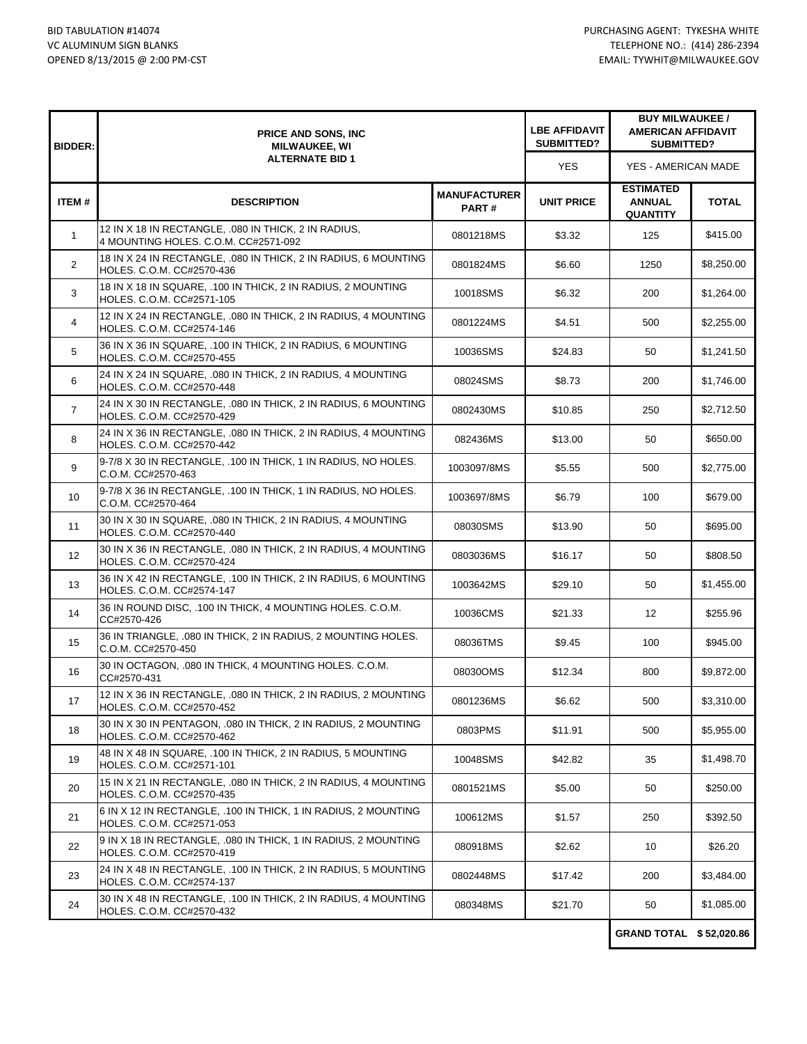| <b>BIDDER:</b>    | <b>PRICE AND SONS, INC</b><br><b>MILWAUKEE, WI</b><br><b>ALTERNATE BID 1</b>                 |                              | <b>LBE AFFIDAVIT</b><br><b>SUBMITTED?</b> | <b>BUY MILWAUKEE /</b><br><b>AMERICAN AFFIDAVIT</b><br>SUBMITTED? |              |
|-------------------|----------------------------------------------------------------------------------------------|------------------------------|-------------------------------------------|-------------------------------------------------------------------|--------------|
|                   |                                                                                              |                              | <b>YES</b>                                | YES - AMERICAN MADE                                               |              |
| ITEM#             | <b>DESCRIPTION</b>                                                                           | <b>MANUFACTURER</b><br>PART# | <b>UNIT PRICE</b>                         | <b>ESTIMATED</b><br><b>ANNUAL</b><br><b>QUANTITY</b>              | <b>TOTAL</b> |
| $\mathbf{1}$      | 12 IN X 18 IN RECTANGLE, 080 IN THICK, 2 IN RADIUS,<br>4 MOUNTING HOLES. C.O.M. CC#2571-092  | 0801218MS                    | \$3.32                                    | 125                                                               | \$415.00     |
| $\overline{2}$    | 18 IN X 24 IN RECTANGLE, .080 IN THICK, 2 IN RADIUS, 6 MOUNTING<br>HOLES. C.O.M. CC#2570-436 | 0801824MS                    | \$6.60                                    | 1250                                                              | \$8,250.00   |
| 3                 | 18 IN X 18 IN SQUARE, .100 IN THICK, 2 IN RADIUS, 2 MOUNTING<br>HOLES, C.O.M. CC#2571-105    | 10018SMS                     | \$6.32                                    | 200                                                               | \$1,264.00   |
| 4                 | 12 IN X 24 IN RECTANGLE, .080 IN THICK, 2 IN RADIUS, 4 MOUNTING<br>HOLES. C.O.M. CC#2574-146 | 0801224MS                    | \$4.51                                    | 500                                                               | \$2,255.00   |
| 5                 | 36 IN X 36 IN SQUARE, .100 IN THICK, 2 IN RADIUS, 6 MOUNTING<br>HOLES. C.O.M. CC#2570-455    | 10036SMS                     | \$24.83                                   | 50                                                                | \$1,241.50   |
| 6                 | 24 IN X 24 IN SQUARE, .080 IN THICK, 2 IN RADIUS, 4 MOUNTING<br>HOLES. C.O.M. CC#2570-448    | 08024SMS                     | \$8.73                                    | 200                                                               | \$1,746.00   |
| $\overline{7}$    | 24 IN X 30 IN RECTANGLE, .080 IN THICK, 2 IN RADIUS, 6 MOUNTING<br>HOLES. C.O.M. CC#2570-429 | 0802430MS                    | \$10.85                                   | 250                                                               | \$2.712.50   |
| 8                 | 24 IN X 36 IN RECTANGLE, .080 IN THICK, 2 IN RADIUS, 4 MOUNTING<br>HOLES. C.O.M. CC#2570-442 | 082436MS                     | \$13.00                                   | 50                                                                | \$650.00     |
| 9                 | 9-7/8 X 30 IN RECTANGLE, .100 IN THICK, 1 IN RADIUS, NO HOLES.<br>C.O.M. CC#2570-463         | 1003097/8MS                  | \$5.55                                    | 500                                                               | \$2,775.00   |
| 10                | 9-7/8 X 36 IN RECTANGLE, .100 IN THICK, 1 IN RADIUS, NO HOLES.<br>C.O.M. CC#2570-464         | 1003697/8MS                  | \$6.79                                    | 100                                                               | \$679.00     |
| 11                | 30 IN X 30 IN SQUARE, .080 IN THICK, 2 IN RADIUS, 4 MOUNTING<br>HOLES. C.O.M. CC#2570-440    | 08030SMS                     | \$13.90                                   | 50                                                                | \$695.00     |
| $12 \overline{ }$ | 30 IN X 36 IN RECTANGLE, .080 IN THICK, 2 IN RADIUS, 4 MOUNTING<br>HOLES. C.O.M. CC#2570-424 | 0803036MS                    | \$16.17                                   | 50                                                                | \$808.50     |
| 13                | 36 IN X 42 IN RECTANGLE, .100 IN THICK, 2 IN RADIUS, 6 MOUNTING<br>HOLES. C.O.M. CC#2574-147 | 1003642MS                    | \$29.10                                   | 50                                                                | \$1,455.00   |
| 14                | 36 IN ROUND DISC, .100 IN THICK, 4 MOUNTING HOLES. C.O.M.<br>CC#2570-426                     | 10036CMS                     | \$21.33                                   | $12 \overline{ }$                                                 | \$255.96     |
| 15                | 36 IN TRIANGLE, .080 IN THICK, 2 IN RADIUS, 2 MOUNTING HOLES.<br>C.O.M. CC#2570-450          | 08036TMS                     | \$9.45                                    | 100                                                               | \$945.00     |
| 16                | 30 IN OCTAGON, .080 IN THICK, 4 MOUNTING HOLES. C.O.M.<br>CC#2570-431                        | 08030OMS                     | \$12.34                                   | 800                                                               | \$9,872.00   |
| 17                | 12 IN X 36 IN RECTANGLE, .080 IN THICK, 2 IN RADIUS, 2 MOUNTING<br>HOLES. C.O.M. CC#2570-452 | 0801236MS                    | \$6.62                                    | 500                                                               | \$3,310.00   |
| 18                | 30 IN X 30 IN PENTAGON, .080 IN THICK, 2 IN RADIUS, 2 MOUNTING<br>HOLES. C.O.M. CC#2570-462  | 0803PMS                      | \$11.91                                   | 500                                                               | \$5.955.00   |
| 19                | 48 IN X 48 IN SQUARE, .100 IN THICK, 2 IN RADIUS, 5 MOUNTING<br>HOLES. C.O.M. CC#2571-101    | 10048SMS                     | \$42.82                                   | 35                                                                | \$1,498.70   |
| 20                | 15 IN X 21 IN RECTANGLE, .080 IN THICK, 2 IN RADIUS, 4 MOUNTING<br>HOLES. C.O.M. CC#2570-435 | 0801521MS                    | \$5.00                                    | 50                                                                | \$250.00     |
| 21                | 6 IN X 12 IN RECTANGLE, .100 IN THICK, 1 IN RADIUS, 2 MOUNTING<br>HOLES. C.O.M. CC#2571-053  | 100612MS                     | \$1.57                                    | 250                                                               | \$392.50     |
| 22                | 9 IN X 18 IN RECTANGLE, .080 IN THICK, 1 IN RADIUS, 2 MOUNTING<br>HOLES. C.O.M. CC#2570-419  | 080918MS                     | \$2.62                                    | 10                                                                | \$26.20      |
| 23                | 24 IN X 48 IN RECTANGLE, .100 IN THICK, 2 IN RADIUS, 5 MOUNTING<br>HOLES. C.O.M. CC#2574-137 | 0802448MS                    | \$17.42                                   | 200                                                               | \$3,484.00   |
| 24                | 30 IN X 48 IN RECTANGLE, .100 IN THICK, 2 IN RADIUS, 4 MOUNTING<br>HOLES. C.O.M. CC#2570-432 | 080348MS                     | \$21.70                                   | 50                                                                | \$1,085.00   |
|                   |                                                                                              |                              |                                           | <b>GRAND TOTAL \$52,020.86</b>                                    |              |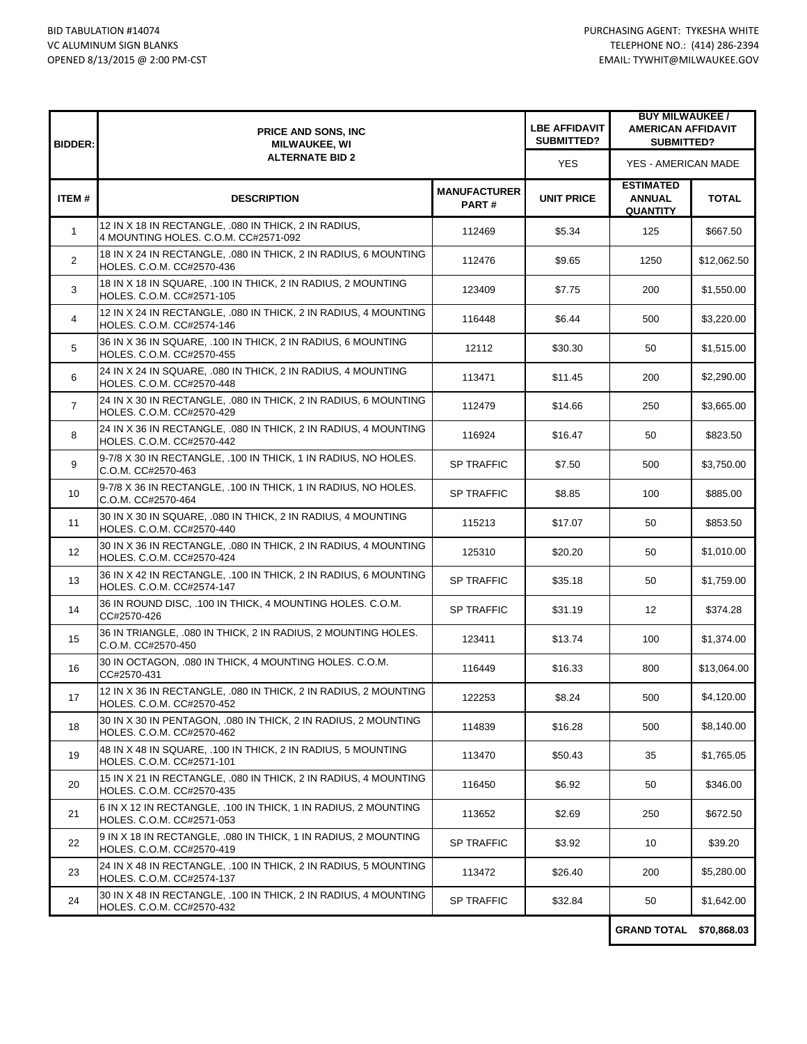| <b>BIDDER:</b> | <b>PRICE AND SONS, INC</b><br><b>MILWAUKEE, WI</b><br><b>ALTERNATE BID 2</b>                 |                              | <b>LBE AFFIDAVIT</b><br><b>SUBMITTED?</b> | <b>BUY MILWAUKEE /</b><br><b>AMERICAN AFFIDAVIT</b><br><b>SUBMITTED?</b> |              |
|----------------|----------------------------------------------------------------------------------------------|------------------------------|-------------------------------------------|--------------------------------------------------------------------------|--------------|
|                |                                                                                              |                              | <b>YES</b>                                | YES - AMERICAN MADE                                                      |              |
| ITEM#          | <b>DESCRIPTION</b>                                                                           | <b>MANUFACTURER</b><br>PART# | <b>UNIT PRICE</b>                         | <b>ESTIMATED</b><br><b>ANNUAL</b><br><b>QUANTITY</b>                     | <b>TOTAL</b> |
| $\mathbf{1}$   | 12 IN X 18 IN RECTANGLE, .080 IN THICK, 2 IN RADIUS,<br>4 MOUNTING HOLES. C.O.M. CC#2571-092 | 112469                       | \$5.34                                    | 125                                                                      | \$667.50     |
| $\overline{2}$ | 18 IN X 24 IN RECTANGLE, .080 IN THICK, 2 IN RADIUS, 6 MOUNTING<br>HOLES. C.O.M. CC#2570-436 | 112476                       | \$9.65                                    | 1250                                                                     | \$12,062.50  |
| 3              | 18 IN X 18 IN SQUARE, .100 IN THICK, 2 IN RADIUS, 2 MOUNTING<br>HOLES. C.O.M. CC#2571-105    | 123409                       | \$7.75                                    | 200                                                                      | \$1,550.00   |
| 4              | 12 IN X 24 IN RECTANGLE, .080 IN THICK, 2 IN RADIUS, 4 MOUNTING<br>HOLES. C.O.M. CC#2574-146 | 116448                       | \$6.44                                    | 500                                                                      | \$3,220.00   |
| 5              | 36 IN X 36 IN SQUARE, .100 IN THICK, 2 IN RADIUS, 6 MOUNTING<br>HOLES. C.O.M. CC#2570-455    | 12112                        | \$30.30                                   | 50                                                                       | \$1,515.00   |
| 6              | 24 IN X 24 IN SQUARE, .080 IN THICK, 2 IN RADIUS, 4 MOUNTING<br>HOLES. C.O.M. CC#2570-448    | 113471                       | \$11.45                                   | 200                                                                      | \$2,290.00   |
| $\overline{7}$ | 24 IN X 30 IN RECTANGLE, .080 IN THICK, 2 IN RADIUS, 6 MOUNTING<br>HOLES, C.O.M. CC#2570-429 | 112479                       | \$14.66                                   | 250                                                                      | \$3,665.00   |
| 8              | 24 IN X 36 IN RECTANGLE, .080 IN THICK, 2 IN RADIUS, 4 MOUNTING<br>HOLES. C.O.M. CC#2570-442 | 116924                       | \$16.47                                   | 50                                                                       | \$823.50     |
| 9              | 9-7/8 X 30 IN RECTANGLE, .100 IN THICK, 1 IN RADIUS, NO HOLES.<br>C.O.M. CC#2570-463         | <b>SP TRAFFIC</b>            | \$7.50                                    | 500                                                                      | \$3,750.00   |
| 10             | 9-7/8 X 36 IN RECTANGLE, .100 IN THICK, 1 IN RADIUS, NO HOLES.<br>C.O.M. CC#2570-464         | <b>SP TRAFFIC</b>            | \$8.85                                    | 100                                                                      | \$885.00     |
| 11             | 30 IN X 30 IN SQUARE, .080 IN THICK, 2 IN RADIUS, 4 MOUNTING<br>HOLES. C.O.M. CC#2570-440    | 115213                       | \$17.07                                   | 50                                                                       | \$853.50     |
| 12             | 30 IN X 36 IN RECTANGLE, .080 IN THICK, 2 IN RADIUS, 4 MOUNTING<br>HOLES. C.O.M. CC#2570-424 | 125310                       | \$20.20                                   | 50                                                                       | \$1,010.00   |
| 13             | 36 IN X 42 IN RECTANGLE, .100 IN THICK, 2 IN RADIUS, 6 MOUNTING<br>HOLES. C.O.M. CC#2574-147 | <b>SP TRAFFIC</b>            | \$35.18                                   | 50                                                                       | \$1,759.00   |
| 14             | 36 IN ROUND DISC, .100 IN THICK, 4 MOUNTING HOLES. C.O.M.<br>CC#2570-426                     | SP TRAFFIC                   | \$31.19                                   | 12 <sup>2</sup>                                                          | \$374.28     |
| 15             | 36 IN TRIANGLE, .080 IN THICK, 2 IN RADIUS, 2 MOUNTING HOLES.<br>C.O.M. CC#2570-450          | 123411                       | \$13.74                                   | 100                                                                      | \$1,374.00   |
| 16             | 30 IN OCTAGON, .080 IN THICK, 4 MOUNTING HOLES, C.O.M.<br>CC#2570-431                        | 116449                       | \$16.33                                   | 800                                                                      | \$13,064.00  |
| 17             | 12 IN X 36 IN RECTANGLE, .080 IN THICK, 2 IN RADIUS, 2 MOUNTING<br>HOLES. C.O.M. CC#2570-452 | 122253                       | \$8.24                                    | 500                                                                      | \$4,120.00   |
| 18             | 30 IN X 30 IN PENTAGON, .080 IN THICK, 2 IN RADIUS, 2 MOUNTING<br>HOLES. C.O.M. CC#2570-462  | 114839                       | \$16.28                                   | 500                                                                      | \$8,140.00   |
| 19             | 48 IN X 48 IN SQUARE, .100 IN THICK, 2 IN RADIUS, 5 MOUNTING<br>HOLES. C.O.M. CC#2571-101    | 113470                       | \$50.43                                   | 35                                                                       | \$1,765.05   |
| 20             | 15 IN X 21 IN RECTANGLE, 080 IN THICK, 2 IN RADIUS, 4 MOUNTING<br>HOLES. C.O.M. CC#2570-435  | 116450                       | \$6.92                                    | 50                                                                       | \$346.00     |
| 21             | 6 IN X 12 IN RECTANGLE, .100 IN THICK, 1 IN RADIUS, 2 MOUNTING<br>HOLES. C.O.M. CC#2571-053  | 113652                       | \$2.69                                    | 250                                                                      | \$672.50     |
| 22             | 9 IN X 18 IN RECTANGLE, .080 IN THICK, 1 IN RADIUS, 2 MOUNTING<br>HOLES. C.O.M. CC#2570-419  | <b>SP TRAFFIC</b>            | \$3.92                                    | 10                                                                       | \$39.20      |
| 23             | 24 IN X 48 IN RECTANGLE, .100 IN THICK, 2 IN RADIUS, 5 MOUNTING<br>HOLES. C.O.M. CC#2574-137 | 113472                       | \$26.40                                   | 200                                                                      | \$5,280.00   |
| 24             | 30 IN X 48 IN RECTANGLE, .100 IN THICK, 2 IN RADIUS, 4 MOUNTING<br>HOLES. C.O.M. CC#2570-432 | <b>SP TRAFFIC</b>            | \$32.84                                   | 50                                                                       | \$1,642.00   |
|                |                                                                                              |                              |                                           |                                                                          |              |

**GRAND TOTAL \$70,868.03**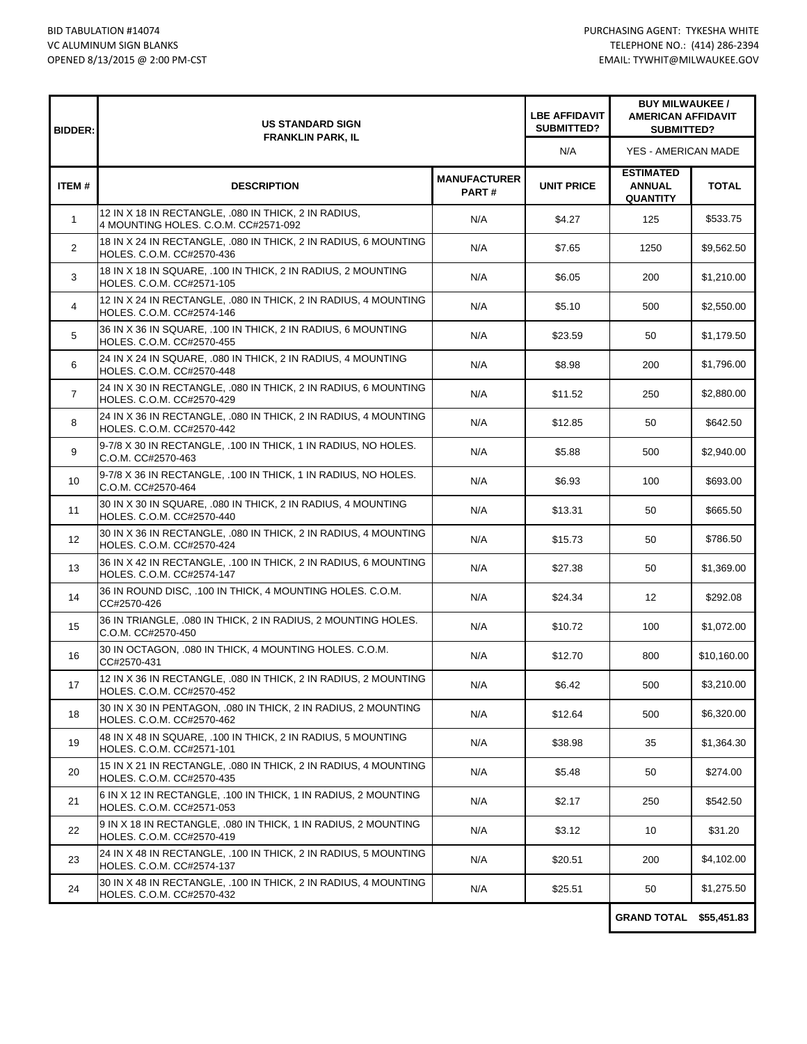| <b>BIDDER:</b>    | <b>US STANDARD SIGN</b><br><b>FRANKLIN PARK, IL</b>                                          |                              | <b>LBE AFFIDAVIT</b><br><b>SUBMITTED?</b> | <b>BUY MILWAUKEE /</b><br><b>AMERICAN AFFIDAVIT</b><br><b>SUBMITTED?</b> |                   |
|-------------------|----------------------------------------------------------------------------------------------|------------------------------|-------------------------------------------|--------------------------------------------------------------------------|-------------------|
|                   |                                                                                              |                              | N/A                                       | YES - AMERICAN MADE                                                      |                   |
| <b>ITEM#</b>      | <b>DESCRIPTION</b>                                                                           | <b>MANUFACTURER</b><br>PART# | <b>UNIT PRICE</b>                         | <b>ESTIMATED</b><br><b>ANNUAL</b><br><b>QUANTITY</b>                     | <b>TOTAL</b>      |
| $\mathbf{1}$      | 12 IN X 18 IN RECTANGLE, 080 IN THICK, 2 IN RADIUS,<br>4 MOUNTING HOLES. C.O.M. CC#2571-092  | N/A                          | \$4.27                                    | 125                                                                      | \$533.75          |
| $\overline{2}$    | 18 IN X 24 IN RECTANGLE, .080 IN THICK, 2 IN RADIUS, 6 MOUNTING<br>HOLES, C.O.M. CC#2570-436 | N/A                          | \$7.65                                    | 1250                                                                     | \$9,562.50        |
| 3                 | 18 IN X 18 IN SQUARE, .100 IN THICK, 2 IN RADIUS, 2 MOUNTING<br>HOLES. C.O.M. CC#2571-105    | N/A                          | \$6.05                                    | 200                                                                      | \$1,210.00        |
| 4                 | 12 IN X 24 IN RECTANGLE, .080 IN THICK, 2 IN RADIUS, 4 MOUNTING<br>HOLES. C.O.M. CC#2574-146 | N/A                          | \$5.10                                    | 500                                                                      | \$2,550.00        |
| 5                 | 36 IN X 36 IN SQUARE, .100 IN THICK, 2 IN RADIUS, 6 MOUNTING<br>HOLES. C.O.M. CC#2570-455    | N/A                          | \$23.59                                   | 50                                                                       | \$1,179.50        |
| 6                 | 24 IN X 24 IN SQUARE, .080 IN THICK, 2 IN RADIUS, 4 MOUNTING<br>HOLES. C.O.M. CC#2570-448    | N/A                          | \$8.98                                    | 200                                                                      | \$1,796.00        |
| $\overline{7}$    | 24 IN X 30 IN RECTANGLE, 080 IN THICK, 2 IN RADIUS, 6 MOUNTING<br>HOLES. C.O.M. CC#2570-429  | N/A                          | \$11.52                                   | 250                                                                      | \$2,880.00        |
| 8                 | 24 IN X 36 IN RECTANGLE, .080 IN THICK, 2 IN RADIUS, 4 MOUNTING<br>HOLES. C.O.M. CC#2570-442 | N/A                          | \$12.85                                   | 50                                                                       | \$642.50          |
| 9                 | 9-7/8 X 30 IN RECTANGLE, .100 IN THICK, 1 IN RADIUS, NO HOLES.<br>C.O.M. CC#2570-463         | N/A                          | \$5.88                                    | 500                                                                      | \$2,940.00        |
| 10                | 9-7/8 X 36 IN RECTANGLE, .100 IN THICK, 1 IN RADIUS, NO HOLES.<br>C.O.M. CC#2570-464         | N/A                          | \$6.93                                    | 100                                                                      | \$693.00          |
| 11                | 30 IN X 30 IN SQUARE, .080 IN THICK, 2 IN RADIUS, 4 MOUNTING<br>HOLES. C.O.M. CC#2570-440    | N/A                          | \$13.31                                   | 50                                                                       | \$665.50          |
| $12 \overline{ }$ | 30 IN X 36 IN RECTANGLE, .080 IN THICK, 2 IN RADIUS, 4 MOUNTING<br>HOLES. C.O.M. CC#2570-424 | N/A                          | \$15.73                                   | 50                                                                       | \$786.50          |
| 13                | 36 IN X 42 IN RECTANGLE, .100 IN THICK, 2 IN RADIUS, 6 MOUNTING<br>HOLES. C.O.M. CC#2574-147 | N/A                          | \$27.38                                   | 50                                                                       | \$1,369.00        |
| 14                | 36 IN ROUND DISC, .100 IN THICK, 4 MOUNTING HOLES. C.O.M.<br>CC#2570-426                     | N/A                          | \$24.34                                   | $12 \overline{ }$                                                        | \$292.08          |
| 15                | 36 IN TRIANGLE, .080 IN THICK, 2 IN RADIUS, 2 MOUNTING HOLES.<br>C.O.M. CC#2570-450          | N/A                          | \$10.72                                   | 100                                                                      | \$1,072.00        |
| 16                | 30 IN OCTAGON, .080 IN THICK, 4 MOUNTING HOLES. C.O.M.<br>CC#2570-431                        | N/A                          | \$12.70                                   | 800                                                                      | \$10,160.00       |
| 17                | 12 IN X 36 IN RECTANGLE, .080 IN THICK, 2 IN RADIUS, 2 MOUNTING<br>HOLES. C.O.M. CC#2570-452 | N/A                          | \$6.42                                    | 500                                                                      | \$3,210.00        |
| 18                | 30 IN X 30 IN PENTAGON, .080 IN THICK, 2 IN RADIUS, 2 MOUNTING<br>HOLES. C.O.M. CC#2570-462  | N/A                          | \$12.64                                   | 500                                                                      | \$6,320.00        |
| 19                | 48 IN X 48 IN SQUARE, .100 IN THICK, 2 IN RADIUS, 5 MOUNTING<br>HOLES. C.O.M. CC#2571-101    | N/A                          | \$38.98                                   | 35                                                                       | \$1,364.30        |
| 20                | 15 IN X 21 IN RECTANGLE, .080 IN THICK, 2 IN RADIUS, 4 MOUNTING<br>HOLES. C.O.M. CC#2570-435 | N/A                          | \$5.48                                    | 50                                                                       | \$274.00          |
| 21                | 6 IN X 12 IN RECTANGLE, .100 IN THICK, 1 IN RADIUS, 2 MOUNTING<br>HOLES. C.O.M. CC#2571-053  | N/A                          | \$2.17                                    | 250                                                                      | \$542.50          |
| 22                | 9 IN X 18 IN RECTANGLE, 080 IN THICK, 1 IN RADIUS, 2 MOUNTING<br>HOLES. C.O.M. CC#2570-419   | N/A                          | \$3.12                                    | 10                                                                       | \$31.20           |
| 23                | 24 IN X 48 IN RECTANGLE, .100 IN THICK, 2 IN RADIUS, 5 MOUNTING<br>HOLES. C.O.M. CC#2574-137 | N/A                          | \$20.51                                   | 200                                                                      | \$4,102.00        |
| 24                | 30 IN X 48 IN RECTANGLE, .100 IN THICK, 2 IN RADIUS, 4 MOUNTING<br>HOLES. C.O.M. CC#2570-432 | N/A                          | \$25.51                                   | 50                                                                       | \$1,275.50        |
|                   |                                                                                              |                              |                                           | CRAND TOTAL                                                              | <b>CEE 151 02</b> |

**GRAND TOTAL \$55,451.83**